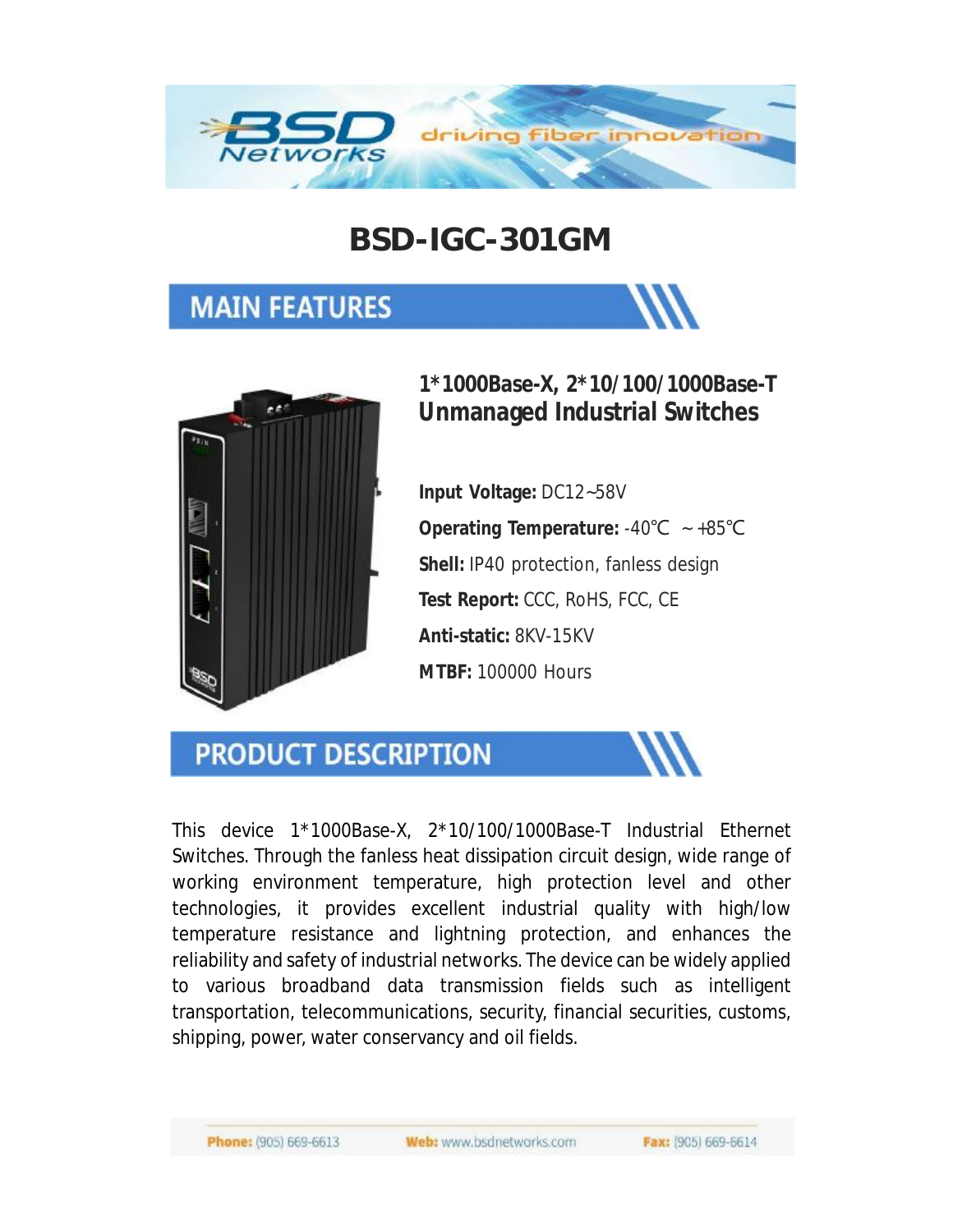

### **BSD-IGC-301GM**

### **MAIN FEATURES**





#### **1\*1000Base-X, 2\*10/100/1000Base-T Unmanaged Industrial Switches**

**Input Voltage:** DC12~58V **Operating Temperature:** -40℃ ~ +85℃ **Shell:** IP40 protection, fanless design **Test Report:** CCC, RoHS, FCC, CE **Anti-static:** 8KV-15KV **MTBF:** 100000 Hours

#### **PRODUCT DESCRIPTION**

This device 1\*1000Base-X, 2\*10/100/1000Base-T Industrial Ethernet Switches. Through the fanless heat dissipation circuit design, wide range of working environment temperature, high protection level and other technologies, it provides excellent industrial quality with high/low temperature resistance and lightning protection, and enhances the reliability and safety of industrial networks. The device can be widely applied to various broadband data transmission fields such as intelligent transportation, telecommunications, security, financial securities, customs, shipping, power, water conservancy and oil fields.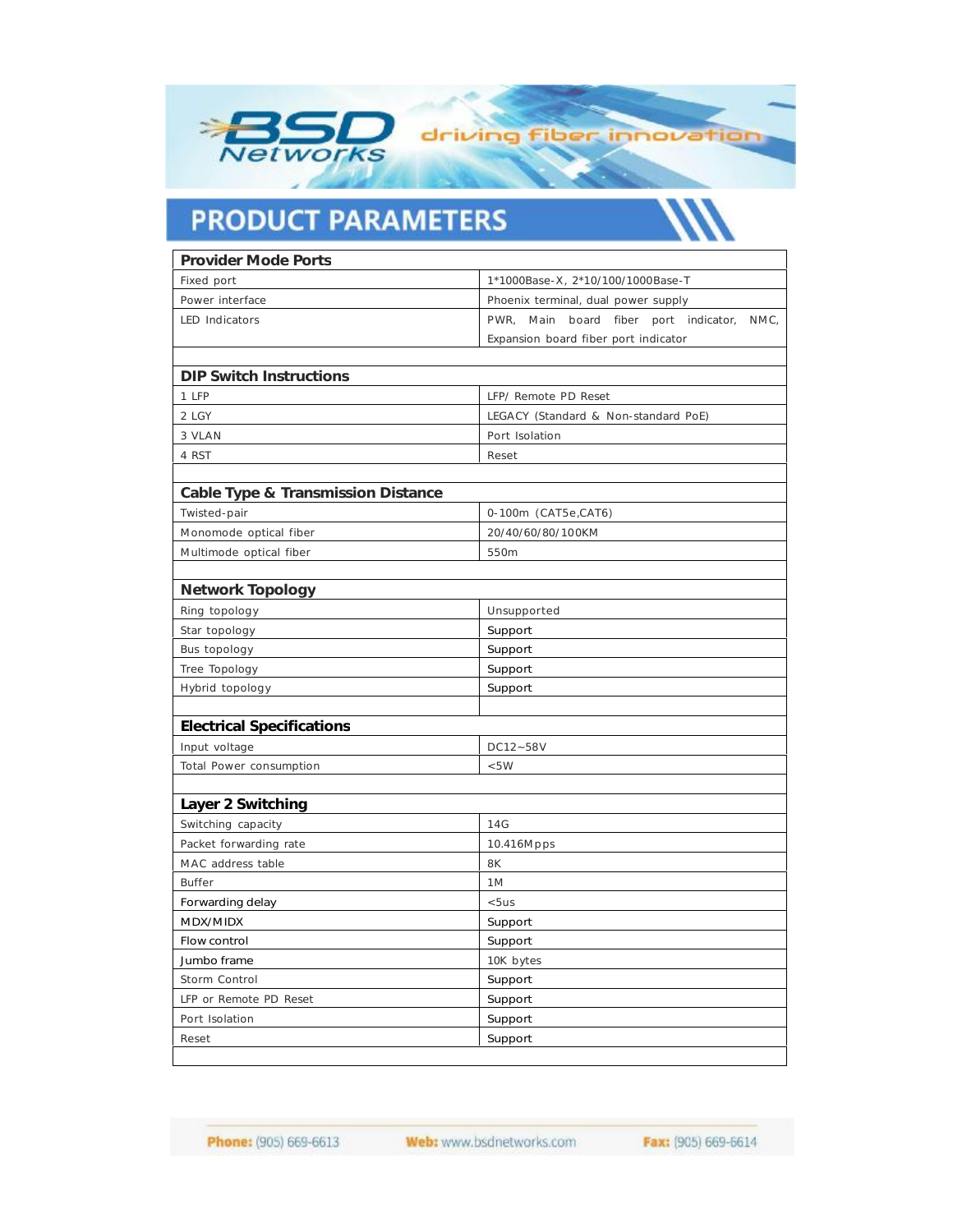

# **PRODUCT PARAMETERS**

| Provider Mode Ports                |                                                                                       |
|------------------------------------|---------------------------------------------------------------------------------------|
| Fixed port                         | 1*1000Base-X, 2*10/100/1000Base-T                                                     |
| Power interface                    | Phoenix terminal, dual power supply                                                   |
| <b>LED</b> Indicators              | PWR, Main board fiber port indicator,<br>NMC,<br>Expansion board fiber port indicator |
|                                    |                                                                                       |
| <b>DIP Switch Instructions</b>     |                                                                                       |
| 1 LFP                              | LFP/ Remote PD Reset                                                                  |
| 2 LGY                              | LEGACY (Standard & Non-standard PoE)                                                  |
| 3 VLAN                             | Port Isolation                                                                        |
| 4 RST                              | Reset                                                                                 |
|                                    |                                                                                       |
| Cable Type & Transmission Distance |                                                                                       |
| Twisted-pair                       | 0-100m (CAT5e,CAT6)                                                                   |
| Monomode optical fiber             | 20/40/60/80/100KM                                                                     |
| Multimode optical fiber            | 550m                                                                                  |
|                                    |                                                                                       |
| <b>Network Topology</b>            |                                                                                       |
| Ring topology                      | Unsupported                                                                           |
| Star topology                      | Support                                                                               |
| Bus topology                       | Support                                                                               |
| Tree Topology                      | Support                                                                               |
| Hybrid topology                    | Support                                                                               |
|                                    |                                                                                       |
| <b>Electrical Specifications</b>   |                                                                                       |
| Input voltage                      | DC12~58V                                                                              |
| Total Power consumption            | < 5W                                                                                  |
| Layer 2 Switching                  |                                                                                       |
| Switching capacity                 | 14G                                                                                   |
| Packet forwarding rate             | 10.416Mpps                                                                            |
| MAC address table                  | 8K                                                                                    |
| Buffer                             | 1M                                                                                    |
| Forwarding delay                   | < 5us                                                                                 |
| MDX/MIDX                           | Support                                                                               |
| Flow control                       | Support                                                                               |
| Jumbo frame                        | 10K bytes                                                                             |
| Storm Control                      | Support                                                                               |
| LFP or Remote PD Reset             | Support                                                                               |
|                                    |                                                                                       |
| Port Isolation                     | Support                                                                               |